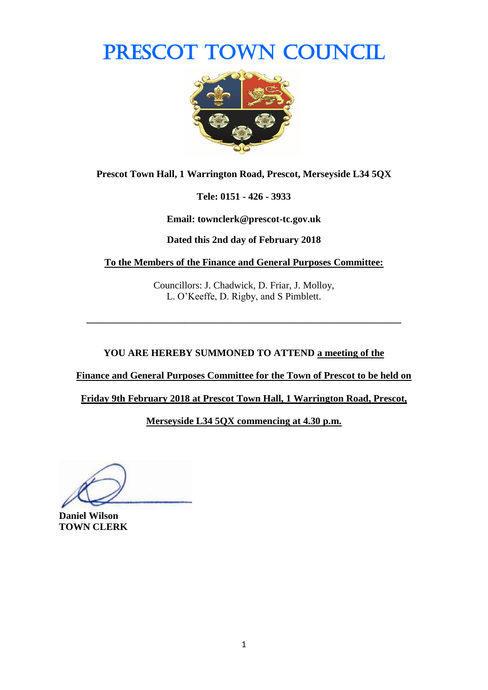PRESCOT TOWN COUNCIL



**Prescot Town Hall, 1 Warrington Road, Prescot, Merseyside L34 5QX**

**Tele: 0151 - 426 - 3933**

**Email: townclerk@prescot-tc.gov.uk**

**Dated this 2nd day of February 2018**

**To the Members of the Finance and General Purposes Committee:**

Councillors: J. Chadwick, D. Friar, J. Molloy, L. O'Keeffe, D. Rigby, and S Pimblett.

**\_\_\_\_\_\_\_\_\_\_\_\_\_\_\_\_\_\_\_\_\_\_\_\_\_\_\_\_\_\_\_\_\_\_\_\_\_\_\_\_\_\_\_\_\_\_\_\_\_\_\_\_\_\_\_\_\_\_\_\_\_\_\_\_**

**YOU ARE HEREBY SUMMONED TO ATTEND a meeting of the** 

**Finance and General Purposes Committee for the Town of Prescot to be held on** 

**Friday 9th February 2018 at Prescot Town Hall, 1 Warrington Road, Prescot,** 

**Merseyside L34 5QX commencing at 4.30 p.m.**

**Daniel Wilson TOWN CLERK**